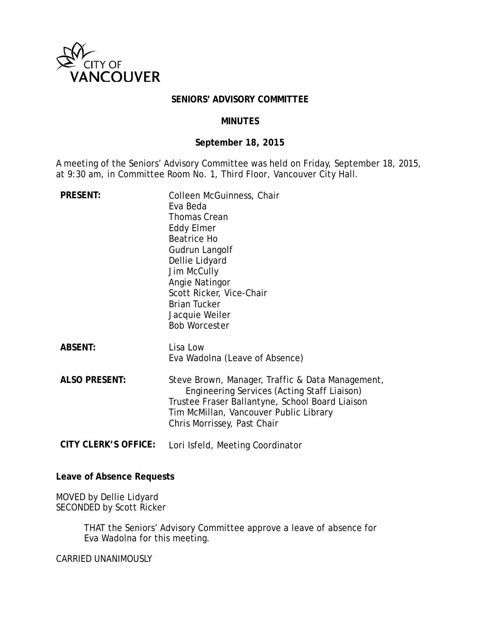

### **SENIORS' ADVISORY COMMITTEE**

#### **MINUTES**

# **September 18, 2015**

A meeting of the Seniors' Advisory Committee was held on Friday, September 18, 2015, at 9:30 am, in Committee Room No. 1, Third Floor, Vancouver City Hall.

| <b>PRESENT:</b>             | Colleen McGuinness, Chair<br>Eva Beda<br><b>Thomas Crean</b><br><b>Eddy Elmer</b><br><b>Beatrice Ho</b><br>Gudrun Langolf<br>Dellie Lidyard<br>Jim McCully<br>Angie Natingor<br>Scott Ricker, Vice-Chair<br><b>Brian Tucker</b><br>Jacquie Weiler<br><b>Bob Worcester</b> |
|-----------------------------|---------------------------------------------------------------------------------------------------------------------------------------------------------------------------------------------------------------------------------------------------------------------------|
| <b>ABSENT:</b>              | Lisa Low<br>Eva Wadolna (Leave of Absence)                                                                                                                                                                                                                                |
| <b>ALSO PRESENT:</b>        | Steve Brown, Manager, Traffic & Data Management,<br>Engineering Services (Acting Staff Liaison)<br>Trustee Fraser Ballantyne, School Board Liaison<br>Tim McMillan, Vancouver Public Library<br>Chris Morrissey, Past Chair                                               |
| <b>CITY CLERK'S OFFICE:</b> | Lori Isfeld, Meeting Coordinator                                                                                                                                                                                                                                          |

#### **Leave of Absence Requests**

MOVED by Dellie Lidyard SECONDED by Scott Ricker

> THAT the Seniors' Advisory Committee approve a leave of absence for Eva Wadolna for this meeting.

CARRIED UNANIMOUSLY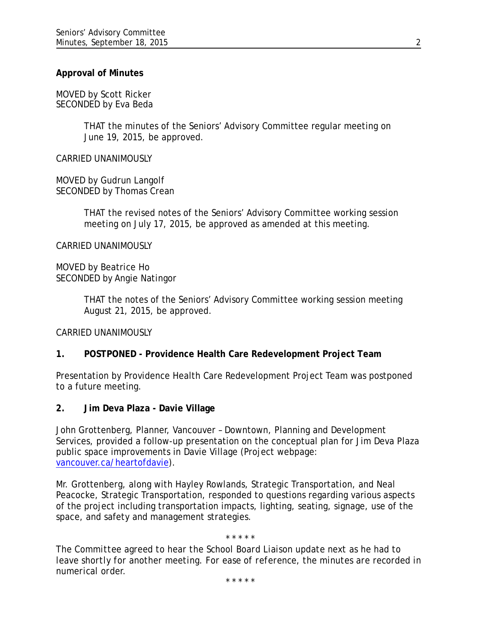### **Approval of Minutes**

MOVED by Scott Ricker SECONDED by Eva Beda

> THAT the minutes of the Seniors' Advisory Committee regular meeting on June 19, 2015, be approved.

CARRIED UNANIMOUSLY

MOVED by Gudrun Langolf SECONDED by Thomas Crean

> THAT the revised notes of the Seniors' Advisory Committee working session meeting on July 17, 2015, be approved as amended at this meeting.

CARRIED UNANIMOUSLY

MOVED by Beatrice Ho SECONDED by Angie Natingor

> THAT the notes of the Seniors' Advisory Committee working session meeting August 21, 2015, be approved.

CARRIED UNANIMOUSLY

### **1. POSTPONED - Providence Health Care Redevelopment Project Team**

Presentation by Providence Health Care Redevelopment Project Team was postponed to a future meeting.

**2. Jim Deva Plaza - Davie Village**

John Grottenberg, Planner, Vancouver – Downtown, Planning and Development Services, provided a follow-up presentation on the conceptual plan for Jim Deva Plaza public space improvements in Davie Village (Project webpage: [vancouver.ca/heartofdavie\)](http://www.vancouver.ca/heartofdavie).

Mr. Grottenberg, along with Hayley Rowlands, Strategic Transportation, and Neal Peacocke, Strategic Transportation, responded to questions regarding various aspects of the project including transportation impacts, lighting, seating, signage, use of the space, and safety and management strategies.

\* \* \* \* \*

*The Committee agreed to hear the School Board Liaison update next as he had to leave shortly for another meeting. For ease of reference, the minutes are recorded in numerical order.*

*\* \* \* \* \**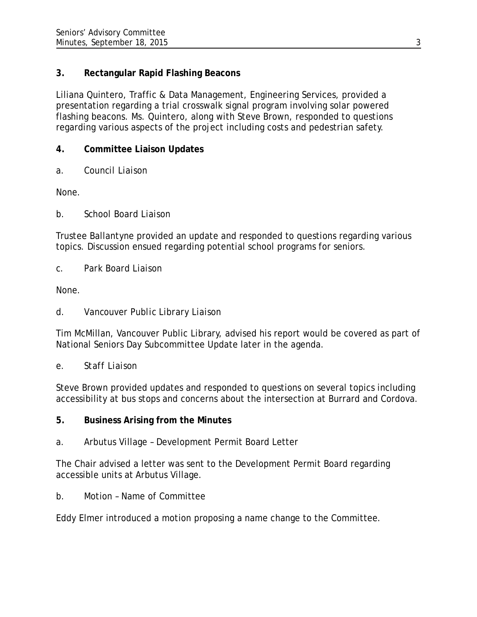# **3. Rectangular Rapid Flashing Beacons**

Liliana Quintero, Traffic & Data Management, Engineering Services, provided a presentation regarding a trial crosswalk signal program involving solar powered flashing beacons. Ms. Quintero, along with Steve Brown, responded to questions regarding various aspects of the project including costs and pedestrian safety.

# **4. Committee Liaison Updates**

*a. Council Liaison*

None.

*b. School Board Liaison*

Trustee Ballantyne provided an update and responded to questions regarding various topics. Discussion ensued regarding potential school programs for seniors.

*c. Park Board Liaison*

None.

*d. Vancouver Public Library Liaison*

Tim McMillan, Vancouver Public Library, advised his report would be covered as part of National Seniors Day Subcommittee Update later in the agenda.

*e. Staff Liaison*

Steve Brown provided updates and responded to questions on several topics including accessibility at bus stops and concerns about the intersection at Burrard and Cordova.

# **5. Business Arising from the Minutes**

a. Arbutus Village – Development Permit Board Letter

The Chair advised a letter was sent to the Development Permit Board regarding accessible units at Arbutus Village.

b. Motion – Name of Committee

Eddy Elmer introduced a motion proposing a name change to the Committee.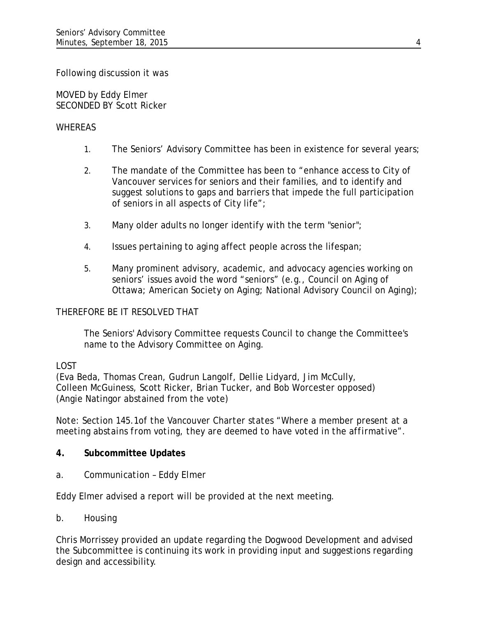Following discussion it was

MOVED by Eddy Elmer SECONDED BY Scott Ricker

## WHEREAS

- 1. The Seniors' Advisory Committee has been in existence for several years;
- 2. The mandate of the Committee has been to "enhance access to City of Vancouver services for seniors and their families, and to identify and suggest solutions to gaps and barriers that impede the full participation of seniors in all aspects of City life";
- 3. Many older adults no longer identify with the term "senior";
- 4. Issues pertaining to aging affect people across the lifespan;
- 5. Many prominent advisory, academic, and advocacy agencies working on seniors' issues avoid the word "seniors" (e.g., Council on Aging of Ottawa; American Society on Aging; National Advisory Council on Aging);

### THEREFORE BE IT RESOLVED THAT

The Seniors' Advisory Committee requests Council to change the Committee's name to the Advisory Committee on Aging.

### LOST

(Eva Beda, Thomas Crean, Gudrun Langolf, Dellie Lidyard, Jim McCully, Colleen McGuiness, Scott Ricker, Brian Tucker, and Bob Worcester opposed) (Angie Natingor abstained from the vote)

*Note: Section 145.1of the Vancouver Charter states "Where a member present at a meeting abstains from voting, they are deemed to have voted in the affirmative".* 

### **4. Subcommittee Updates**

*a. Communication – Eddy Elmer*

Eddy Elmer advised a report will be provided at the next meeting.

*b. Housing* 

Chris Morrissey provided an update regarding the Dogwood Development and advised the Subcommittee is continuing its work in providing input and suggestions regarding design and accessibility.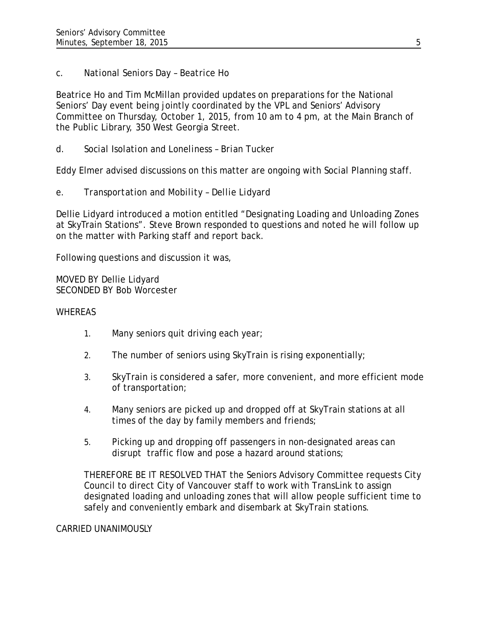# *c. National Seniors Day – Beatrice Ho*

Beatrice Ho and Tim McMillan provided updates on preparations for the National Seniors' Day event being jointly coordinated by the VPL and Seniors' Advisory Committee on Thursday, October 1, 2015, from 10 am to 4 pm, at the Main Branch of the Public Library, 350 West Georgia Street.

*d. Social Isolation and Loneliness – Brian Tucker*

Eddy Elmer advised discussions on this matter are ongoing with Social Planning staff.

## *e. Transportation and Mobility – Dellie Lidyard*

Dellie Lidyard introduced a motion entitled "Designating Loading and Unloading Zones at SkyTrain Stations". Steve Brown responded to questions and noted he will follow up on the matter with Parking staff and report back.

Following questions and discussion it was,

MOVED BY Dellie Lidyard SECONDED BY Bob Worcester

#### **WHEREAS**

- 1. Many seniors quit driving each year;
- 2. The number of seniors using SkyTrain is rising exponentially;
- 3. SkyTrain is considered a safer, more convenient, and more efficient mode of transportation;
- 4. Many seniors are picked up and dropped off at SkyTrain stations at all times of the day by family members and friends;
- 5. Picking up and dropping off passengers in non-designated areas can disrupt traffic flow and pose a hazard around stations;

THEREFORE BE IT RESOLVED THAT the Seniors Advisory Committee requests City Council to direct City of Vancouver staff to work with TransLink to assign designated loading and unloading zones that will allow people sufficient time to safely and conveniently embark and disembark at SkyTrain stations.

#### CARRIED UNANIMOUSLY